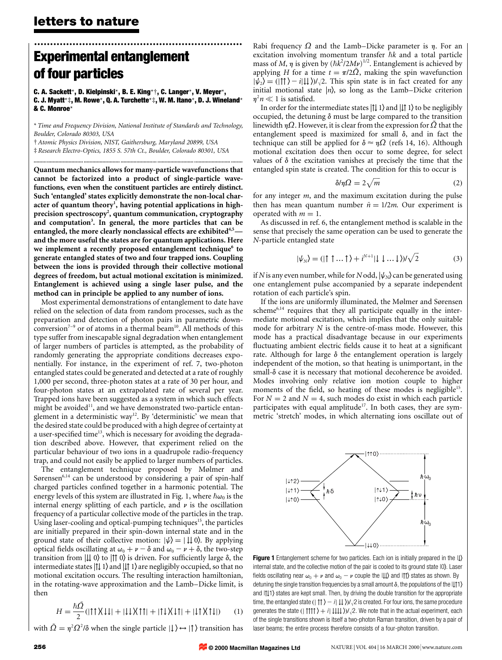## ................................................................. **Experimental entanglement of four particles**

**C. A. Sackett**\***, D. Kielpinski**\***, B. E. King**\*†**, C. Langer**\***, V. Meyer**\***, C. J. Myatt**\*‡**, M. Rowe**\***, Q. A. Turchette**\*‡**, W. M. Itano**\***, D. J. Wineland**\* **& C. Monroe**\*

\* *Time and Frequency Division, National Institute of Standards and Technology, Boulder, Colorado 80303, USA*

**.................................. ......................... ......................... ......................... ......................... ........**

† *Atomic Physics Division, NIST, Gaithersburg, Maryland 20899, USA* ‡ *Research Electro-Optics, 1855 S. 57th Ct., Boulder, Colorado 80301, USA*

**Quantum mechanics allows for many-particle wavefunctions that cannot be factorized into a product of single-particle wavefunctions, even when the constituent particles are entirely distinct. Such 'entangled' states explicitly demonstrate the non-local character of quantum theory<sup>1</sup> , having potential applications in highprecision spectroscopy2 , quantum communication, cryptography and computation3 . In general, the more particles that can be entangled, the more clearly nonclassical effects are exhibited4,5 and the more useful the states are for quantum applications. Here** we implement a recently proposed entanglement technique<sup>6</sup> to **generate entangled states of two and four trapped ions. Coupling between the ions is provided through their collective motional degrees of freedom, but actual motional excitation is minimized. Entanglement is achieved using a single laser pulse, and the method can in principle be applied to any number of ions.**

Most experimental demonstrations of entanglement to date have relied on the selection of data from random processes, such as the preparation and detection of photon pairs in parametric downconversion<sup>7–9</sup> or of atoms in a thermal beam<sup>10</sup>. All methods of this type suffer from inescapable signal degradation when entanglement of larger numbers of particles is attempted, as the probability of randomly generating the appropriate conditions decreases exponentially. For instance, in the experiment of ref. 7, two-photon entangled states could be generated and detected at a rate of roughly 1,000 per second, three-photon states at a rate of 30 per hour, and four-photon states at an extrapolated rate of several per year. Trapped ions have been suggested as a system in which such effects might be avoided<sup>11</sup>, and we have demonstrated two-particle entanglement in a deterministic way<sup>12</sup>. By 'deterministic' we mean that the desired state could be produced with a high degree of certainty at a user-specified time<sup>13</sup>, which is necessary for avoiding the degradation described above. However, that experiment relied on the particular behaviour of two ions in a quadrupole radio-frequency trap, and could not easily be applied to larger numbers of particles.

The entanglement technique proposed by Mølmer and Sørensen $6,14$  can be understood by considering a pair of spin-half charged particles confined together in a harmonic potential. The energy levels of this system are illustrated in Fig. 1, where  $\hbar\omega_0$  is the internal energy splitting of each particle, and  $\nu$  is the oscillation frequency of a particular collective mode of the particles in the trap. Using laser-cooling and optical-pumping techniques<sup>15</sup>, the particles are initially prepared in their spin-down internal state and in the ground state of their collective motion:  $|\psi\rangle = | \downarrow \downarrow 0 \rangle$ . By applying optical fields oscillating at  $\omega_0 + \nu - \delta$  and  $\omega_0 - \nu + \delta$ , the two-step transition from  $| \nparallel$  0) to  $| \nparallel$  0) is driven. For sufficiently large  $\delta$ , the intermediate states  $|1|$  1) and  $|1|$  1) are negligibly occupied, so that no motional excitation occurs. The resulting interaction hamiltonian, in the rotating-wave approximation and the Lamb–Dicke limit, is then

$$
H = \frac{\hbar \Omega}{2} (| \uparrow \uparrow \chi \downarrow \downarrow | + | \downarrow \downarrow \chi \uparrow \uparrow | + | \uparrow \downarrow \chi \downarrow \uparrow | + | \downarrow \uparrow \chi \uparrow \downarrow | ) \tag{1}
$$

with  $\tilde{\Omega} = \eta^2 \Omega^2/\delta$  when the single particle  $|\downarrow\rangle \leftrightarrow |\uparrow\rangle$  transition has

Rabi frequency  $\Omega$  and the Lamb–Dicke parameter is  $\eta$ . For an excitation involving momentum transfer  $\hbar k$  and a total particle mass of *M*,  $\eta$  is given by  $(\hbar k^2/2M\nu)^{1/2}$ . Entanglement is achieved by applying *H* for a time  $t = \pi/2\overline{Q}$ , making the spin wavefunction  $|\psi_2\rangle = (|\!\uparrow\uparrow\rangle - i|\!\downarrow\downarrow\rangle)/\sqrt{2}$ . This spin state is in fact created for any initial motional state  $|n\rangle$ , so long as the Lamb–Dicke criterion  $\eta^2 n \ll 1$  is satisfied.

In order for the intermediate states  $|1| 1$  and  $|1| 1$  to be negligibly occupied, the detuning  $\delta$  must be large compared to the transition linewidth h*Ω*. However, it is clear from the expression for *Ω*˜ that the entanglement speed is maximized for small  $\delta$ , and in fact the technique can still be applied for  $\delta \approx \eta \Omega$  (refs 14, 16). Although motional excitation does then occur to some degree, for select values of  $\delta$  the excitation vanishes at precisely the time that the entangled spin state is created. The condition for this to occur is

$$
\delta/\eta\Omega = 2\sqrt{m} \tag{2}
$$

for any integer *m*, and the maximum excitation during the pulse then has mean quantum number  $\bar{n} = 1/2m$ . Our experiment is operated with  $m = 1$ .

As discussed in ref. 6, the entanglement method is scalable in the sense that precisely the same operation can be used to generate the *N*-particle entangled state

$$
|\psi_N\rangle = (|\uparrow \uparrow \dots \uparrow\rangle + i^{N+1}|\downarrow \downarrow \dots \downarrow\rangle)/\sqrt{2}
$$
 (3)

if *N* is any even number, while for *N* odd,  $|\psi_N\rangle$  can be generated using one entanglement pulse accompanied by a separate independent rotation of each particle's spin.

If the ions are uniformly illuminated, the Mølmer and Sørensen scheme<sup>6,14</sup> requires that they all participate equally in the intermediate motional excitation, which implies that the only suitable mode for arbitrary *N* is the centre-of-mass mode. However, this mode has a practical disadvantage because in our experiments fluctuating ambient electric fields cause it to heat at a significant rate. Although for large  $\delta$  the entanglement operation is largely independent of the motion, so that heating is unimportant, in the  $small- $\delta$  case it is necessary that motional decoherence be avoided.$ Modes involving only relative ion motion couple to higher moments of the field, so heating of these modes is negligible<sup>15</sup>. For  $N = 2$  and  $N = 4$ , such modes do exist in which each particle participates with equal amplitude<sup>17</sup>. In both cases, they are symmetric 'stretch' modes, in which alternating ions oscillate out of



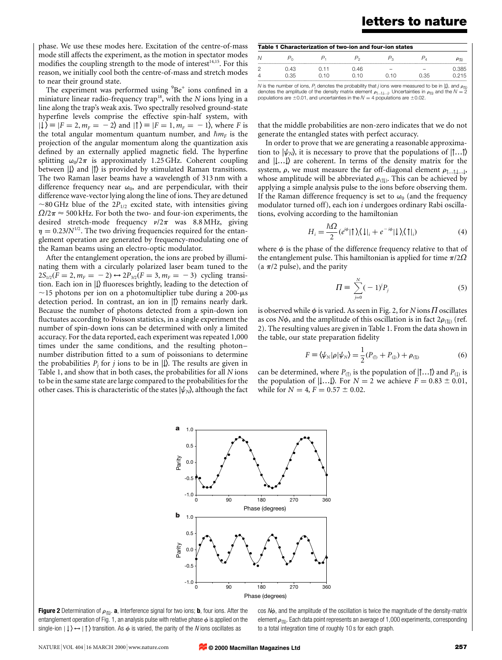## **letters to nature**

phase. We use these modes here. Excitation of the centre-of-mass mode still affects the experiment, as the motion in spectator modes modifies the coupling strength to the mode of interest<sup>14,15</sup>. For this reason, we initially cool both the centre-of-mass and stretch modes to near their ground state.

The experiment was performed using  ${}^{9}Be^+$  ions confined in a miniature linear radio-frequency trap<sup>18</sup>, with the *N* ions lying in a line along the trap's weak axis. Two spectrally resolved ground-state hyperfine levels comprise the effective spin-half system, with  $|\downarrow\rangle \equiv |F = 2, m_F = -2\rangle$  and  $|\uparrow\rangle \equiv |F = 1, m_F = -1\rangle$ , where *F* is the total angular momentum quantum number, and  $\hbar m_F$  is the projection of the angular momentum along the quantization axis defined by an externally applied magnetic field. The hyperfine splitting  $\omega_0/2\pi$  is approximately 1.25 GHz. Coherent coupling between  $| \downarrow \rangle$  and  $| \uparrow \rangle$  is provided by stimulated Raman transitions. The two Raman laser beams have a wavelength of 313 nm with a difference frequency near  $\omega_0$ , and are perpendicular, with their difference wave-vector lying along the line of ions. They are detuned  $\sim$ 80 GHz blue of the 2P<sub>1/2</sub> excited state, with intensities giving  $\Omega/2\pi \approx 500$  kHz. For both the two- and four-ion experiments, the desired stretch-mode frequency  $\nu/2\pi$  was 8.8 MHz, giving  $\eta = 0.23/N^{1/2}$ . The two driving frequencies required for the entanglement operation are generated by frequency-modulating one of the Raman beams using an electro-optic modulator.

After the entanglement operation, the ions are probed by illuminating them with a circularly polarized laser beam tuned to the  $2S_{1/2}(F = 2, m_F = -2) \leftrightarrow 2P_{3/2}(F = 3, m_F = -3)$  cycling transition. Each ion in  $| \downarrow \rangle$  fluoresces brightly, leading to the detection of  $\sim$ 15 photons per ion on a photomultiplier tube during a 200-µs detection period. In contrast, an ion in  $|\uparrow\rangle$  remains nearly dark. Because the number of photons detected from a spin-down ion fluctuates according to Poisson statistics, in a single experiment the number of spin-down ions can be determined with only a limited accuracy. For the data reported, each experiment was repeated 1,000 times under the same conditions, and the resulting photon– number distribution fitted to a sum of poissonians to determine the probabilities  $P_j$  for *j* ions to be in  $| \downarrow \rangle$ . The results are given in Table 1, and show that in both cases, the probabilities for all *N* ions to be in the same state are large compared to the probabilities for the other cases. This is characteristic of the states  $|\psi_N\rangle$ , although the fact

| Table 1 Characterization of two-ion and four-ion states |      |      |      |      |      |        |
|---------------------------------------------------------|------|------|------|------|------|--------|
|                                                         |      |      |      |      |      |        |
|                                                         | በ 43 | N 11 | በ 46 |      |      | N 385  |
|                                                         | 0.35 | N 10 | N 10 | N 10 | 0.35 | ገ 21 5 |

with the number of ions,  $P_j$  denotes the probability that *i* ions were measured to be in  $|1\rangle$ , and  $\rho_{(1)}$  denotes the probability that *i* ions were measured to be in  $|1\rangle$ , and  $\rho_{(1)}$  denotes the amplitude of th

that the middle probabilities are non-zero indicates that we do not generate the entangled states with perfect accuracy.

In order to prove that we are generating a reasonable approximation to  $|\psi_N\rangle$ , it is necessary to prove that the populations of  $|\uparrow...\uparrow\rangle$ and  $|{\downarrow}...{\downarrow}\rangle$  are coherent. In terms of the density matrix for the system,  $\rho$ , we must measure the far off-diagonal element  $\rho_{\uparrow\ldots\uparrow\downarrow\ldots\downarrow}$ , whose amplitude will be abbreviated  $\rho_{(1)}$ . This can be achieved by applying a simple analysis pulse to the ions before observing them. If the Raman difference frequency is set to  $\omega_0$  (and the frequency modulator turned off), each ion *i* undergoes ordinary Rabi oscillations, evolving according to the hamiltonian

$$
H_i = \frac{\hbar \Omega}{2} (e^{i\phi} |\uparrow\rangle_i \langle \downarrow|_i + e^{-i\phi} |\downarrow\rangle_i \langle \uparrow|_i)
$$
 (4)

where  $\phi$  is the phase of the difference frequency relative to that of the entanglement pulse. This hamiltonian is applied for time  $\pi/2\Omega$ (a  $\pi/2$  pulse), and the parity

$$
\Pi = \sum_{j=0}^{N} (-1)^{j} P_{j}
$$
 (5)

is observed while  $\phi$  is varied. As seen in Fig. 2, for *N* ions  $\Pi$  oscillates as cos *N* $\phi$ , and the amplitude of this oscillation is in fact  $2\rho_{(1)}$  (ref. 2). The resulting values are given in Table 1. From the data shown in the table, our state preparation fidelity

$$
F \equiv \langle \psi_N | \rho | \psi_N \rangle = \frac{1}{2} (P_{(1)} + P_{(1)}) + \rho_{(1)}
$$
(6)

can be determined, where  $P_{(1)}$  is the population of  $|\uparrow...|\rangle$  and  $P_{(1)}$  is the population of  $|{\downarrow}...{\downarrow}\rangle$ . For  $N = 2$  we achieve  $F = 0.83 \pm 0.01$ , while for  $N = 4$ ,  $F = 0.57 \pm 0.02$ .



**Figure 2** Determination of  $\rho_{([1])}$ . **a**, Interference signal for two ions; **b**, four ions. After the entanglement operation of Fig. 1, an analysis pulse with relative phase  $\phi$  is applied on the single-ion  $|\downarrow\rangle \leftrightarrow |\uparrow\rangle$  transition. As  $\phi$  is varied, the parity of the N ions oscillates as

 $cos N\phi$ , and the amplitude of the oscillation is twice the magnitude of the density-matrix element  $\rho_{(\texttt{1} \texttt{I})}.$  Each data point represents an average of 1,000 experiments, corresponding to a total integration time of roughly 10 s for each graph.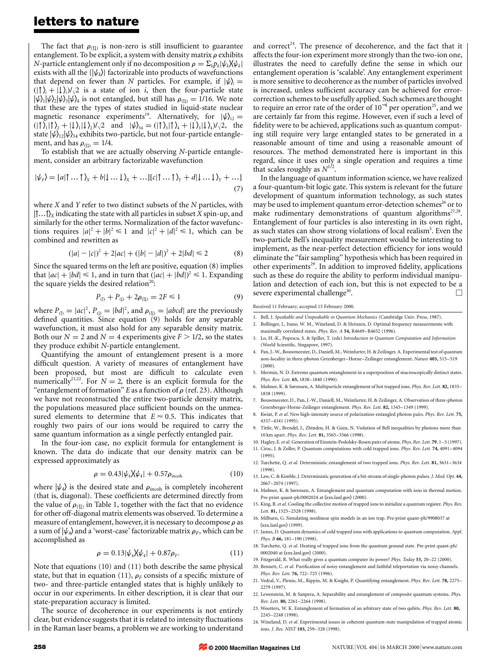### **letters to nature**

The fact that  $\rho_{(|1|)}$  is non-zero is still insufficient to guarantee entanglement. To be explicit, a system with density matrix  $\rho$  exhibits *N*-particle entanglement only if no decomposition  $\rho = \sum_k p_k |\psi_k| \psi_k$ exists with all the  $\{|\psi_k\rangle\}$  factorizable into products of wavefunctions that depend on fewer than *N* particles. For example, if  $|\psi\rangle =$  $\langle \cdot | \cdot \rangle_i + | \cdot \rangle_i / \sqrt{2}$  is a state of ion *i*, then the four-particle state  $|\psi\rangle_1|\psi\rangle_2|\psi\rangle_3|\psi\rangle_4$  is not entangled, but still has  $\rho_{(1)}=1/16$ . We note that these are the types of states studied in liquid-state nuclear magnetic resonance experiments<sup>19</sup>. Alternatively, for  $|\psi\rangle_{12} =$  $\langle \langle | \uparrow \rangle_1 | \uparrow \rangle_2 + | \downarrow \rangle_1 | \downarrow \rangle_2$  j/ $\langle \rangle_2$  and  $|\psi \rangle_{34} = (\langle | \uparrow \rangle_3 | \uparrow \rangle_4 + | \downarrow \rangle_3 | \downarrow \rangle_4) / \langle \rangle_2$ , the state  $|\psi\rangle_{12}|\psi\rangle_{34}$  exhibits two-particle, but not four-particle entanglement, and has  $\rho_{\text{(1)}} = 1/4$ .

To establish that we are actually observing *N*-particle entanglement, consider an arbitrary factorizable wavefunction

$$
|\psi_F\rangle = [a|\uparrow \dots \uparrow\rangle_x + b|\downarrow \dots \downarrow\rangle_x + \dots][c|\uparrow \dots \uparrow\rangle_y + d|\downarrow \dots \downarrow\rangle_y + \dots]
$$
\n(7)

where *X* and *Y* refer to two distinct subsets of the *N* particles, with |↑…↑i*<sup>X</sup>* indicating the state with all particles in subset *X* spin-up, and similarly for the other terms. Normalization of the factor wavefunctions requires  $|a|^2 + |b|^2 \le 1$  and  $|c|^2 + |d|^2 \le 1$ , which can be combined and rewritten as

$$
(|a| - |c|)^2 + 2|ac| + (|b| - |d|)^2 + 2|bd| \le 2
$$
 (8)

Since the squared terms on the left are positive, equation (8) implies that  $|ac| + |bd| \le 1$ , and in turn that  $(|ac| + |bd|)^2 \le 1$ . Expanding the square yields the desired relation<sup>20</sup>:

$$
P_{(1)} + P_{(1)} + 2\rho_{(1)} = 2F \le 1
$$
\n(9)

where  $P_{(1)} = |ac|^2$ ,  $P_{(1)} = |bd|^2$ , and  $\rho_{(1)} = |abcd|$  are the previously defined quantities. Since equation (9) holds for any separable wavefunction, it must also hold for any separable density matrix. Both our  $N = 2$  and  $N = 4$  experiments give  $F > 1/2$ , so the states they produce exhibit *N*-particle entanglement.

Quantifying the amount of entanglement present is a more difficult question. A variety of measures of entanglement have been proposed, but most are difficult to calculate even numerically<sup>21,22</sup>. For  $N = 2$ , there is an explicit formula for the "entanglement of formation" *E* as a function of  $\rho$  (ref. 23). Although we have not reconstructed the entire two-particle density matrix, the populations measured place sufficient bounds on the unmeasured elements to determine that  $E \approx 0.5$ . This indicates that roughly two pairs of our ions would be required to carry the same quantum information as a single perfectly entangled pair.

In the four-ion case, no explicit formula for entanglement is known. The data do indicate that our density matrix can be expressed approximately as

$$
\rho = 0.43|\psi_4\rangle\langle\psi_4| + 0.57\rho_{\text{incoh}} \tag{10}
$$

where  $|\psi_4\rangle$  is the desired state and  $\rho_{\text{incoh}}$  is completely incoherent (that is, diagonal). These coefficients are determined directly from the value of  $\rho_{(1)}$  in Table 1, together with the fact that no evidence for other off-diagonal matrix elements was observed. To determine a measure of entanglement, however, it is necessary to decompose  $\rho$  as a sum of  $|\psi_4\rangle$  and a 'worst-case' factorizable matrix  $\rho_F$ , which can be accomplished as

$$
\rho = 0.13|\psi_4| \mathbf{X} \psi_4| + 0.87 \rho_F. \tag{11}
$$

Note that equations (10) and (11) both describe the same physical state, but that in equation (11),  $\rho_F$  consists of a specific mixture of two- and three-particle entangled states that is highly unlikely to occur in our experiments. In either description, it is clear that our state-preparation accuracy is limited.

The source of decoherence in our experiments is not entirely clear, but evidence suggests that it is related to intensity fluctuations in the Raman laser beams, a problem we are working to understand and correct<sup>24</sup>. The presence of decoherence, and the fact that it affects the four-ion experiment more strongly than the two-ion one, illustrates the need to carefully define the sense in which our entanglement operation is 'scalable'. Any entanglement experiment is more sensitive to decoherence as the number of particles involved is increased, unless sufficient accuracy can be achieved for errorcorrection schemes to be usefully applied. Such schemes are thought to require an error rate of the order of  $10^{-4}$  per operation<sup>25</sup>, and we are certainly far from this regime. However, even if such a level of fidelity were to be achieved, applications such as quantum computing still require very large entangled states to be generated in a reasonable amount of time and using a reasonable amount of resources. The method demonstrated here is important in this regard, since it uses only a single operation and requires a time that scales roughly as  $N^{1/2}$ .

In the language of quantum information science, we have realized a four-quantum-bit logic gate. This system is relevant for the future development of quantum information technology, as such states may be used to implement quantum error-detection schemes<sup>26</sup> or to make rudimentary demonstrations of quantum algorithms<sup>27,28</sup>. Entanglement of four particles is also interesting in its own right, as such states can show strong violations of local realism<sup>5</sup>. Even the two-particle Bell's inequality measurement would be interesting to implement, as the near-perfect detection efficiency for ions would eliminate the ''fair sampling'' hypothesis which has been required in other experiments<sup>29</sup>. In addition to improved fidelity, applications such as these do require the ability to perform individual manipulation and detection of each ion, but this is not expected to be a severe experimental challenge<sup>30</sup>.  $\Box$ 

Received 11 February; accepted 15 February 2000.

- 1. Bell, J. *Speakable and Unspeakable in Quantum Mechanics* (Cambridge Univ. Press, 1987).
- 2. Bollinger, J., Itano, W. M., Wineland, D. & Heinzen, D. Optimal frequency measurements with maximally correlated states. *Phys. Rev. A* **54,** R4649–R4652 (1996).
- 3. Lo, H.-K., Popescu, S. & Spiller, T. (eds) *Introduction to Quantum Computation and Information* (World Scientific, Singapore, 1997).
- 4. Pan, J.-W., Bouwmeester, D., Daniell, M., Weinfurter, H. & Zeilinger, A. Experimental test of quantum non-locality in three-photon Greenberger–Horne–Zeilinger entanglement. *Nature* **403,** 515–519 (2000).
- 5. Mermin, N. D. Extreme quantum entanglement in a superposition of macroscopically distinct states. *Phys. Rev. Lett.* **65,** 1838–1840 (1990).
- 6. Mølmer, K. & Sørensen, A. Multiparticle entanglement of hot trapped ions. *Phys. Rev. Lett.* **82,** 1835– 1838 (1999).
- 7. Bouwmeester, D., Pan, J.-W., Daniell, M., Weinfurter, H. & Zeilinger, A. Observation of three-photon Greenberger-Horne-Zeilinger entanglement. *Phys. Rev. Lett.* **82,** 1345–1349 (1999).
- 8. Kwiat, P. *et al*. New high-intensity source of polarization-entangled photon pairs. *Phys. Rev. Lett.* **75,** 4337–4341 (1995).
- 9. Tittle, W., Brendel, J., Zbinden, H. & Gisin, N. Violation of Bell inequalities by photons more than 10 km apart. *Phys. Rev. Lett.* **81,** 3565–3566 (1998).
- 10. Hagley, E.*et al*. Generation of Einstein-Podolsky-Rosen pairs of atoms. *Phys. Rev. Lett.* **79**; 1–5 (1997).
- 11. Cirac, J. & Zoller, P. Quantum computations with cold trapped ions. *Phys. Rev. Lett.* **74,** 4091–4094 (1995).
- 12. Turchette, Q. *et al*. Deterministic entanglement of two trapped ions. *Phys. Rev. Lett.* **81,** 3631–3634 (1998).
- 13. Law, C. & Kimble, J. Deterministic generation of a bit-stream of single-photon pulses. *J. Mod. Opt.* **44,** 2067–2074 (1997).
- 14. Mølmer, K. & Sørensen, A. Entanglement and quantum computation with ions in thermal motion. Pre-print quant-ph/0002024 at (xxx.lanl.gov) (2000).
- 15. King, B.*et al*. Cooling the collective motion of trapped ions to initialize a quantum register. *Phys. Rev. Lett.* **81,** 1525–2528 (1998).
- 16. Milburn, G. Simulating nonlinear spin models in an ion trap. Pre-print quant-ph/9908037 at  $\langle$ xxx.lanl.gov $\rangle$  (1999).
- 17. James, D. Quantum dynamics of cold trapped ions with applications to quantum computation. *Appl. Phys. B* **66,** 181–190 (1998).
- 18. Turchette, Q. *et al*. Heating of trapped ions from the quantum ground state. Pre-print quant-ph/ 0002040 at  $\langle$ xxx.lanl.gov $\rangle$  (2000).
- 19. Fitzgerald, R. What really gives a quantum computer its power? *Phys. Today* **53,** 20–22 (2000).
- 20. Bennett, C. *et al*. Purification of noisy entanglement and faithful teleportation via noisy channels. *Phys. Rev. Lett.* **76,** 722–725 (1996).
- 21. Vedral, V., Plenio, M., Rippin, M. & Knight, P. Quantifying entanglement. *Phys. Rev. Lett.* **78,** 2275– 2279 (1997).
- 22. Lewenstein, M. & Sanpera, A. Separability and entanglement of composite quantum systems. *Phys. Rev. Lett.* **80,** 2261–2264 (1998).
- 23. Wootters, W. K. Entanglement of formation of an arbitrary state of two qubits. *Phys. Rev. Lett.* **80,** 2245–2248 (1998).
- 24. Wineland, D. *et al*. Experimental issues in coherent quantum-state manipulation of trapped atomic ions. *J. Res. NIST* **103,** 259–328 (1998).